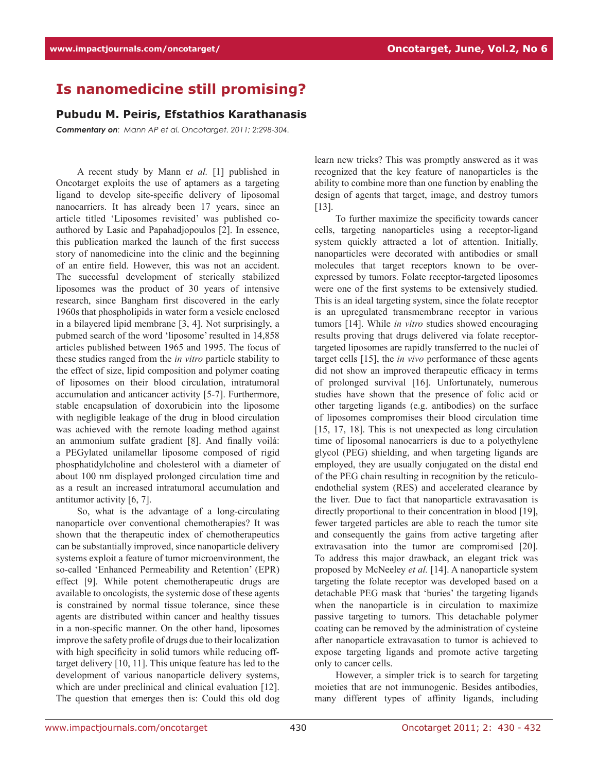## **Is nanomedicine still promising?**

## **Pubudu M. Peiris, Efstathios Karathanasis**

*Commentary on: Mann AP et al. Oncotarget. 2011; 2:298-304.*

A recent study by Mann e*t al.* [1] published in Oncotarget exploits the use of aptamers as a targeting ligand to develop site-specific delivery of liposomal nanocarriers. It has already been 17 years, since an article titled 'Liposomes revisited' was published coauthored by Lasic and Papahadjopoulos [2]. In essence, this publication marked the launch of the first success story of nanomedicine into the clinic and the beginning of an entire field. However, this was not an accident. The successful development of sterically stabilized liposomes was the product of 30 years of intensive research, since Bangham first discovered in the early 1960s that phospholipids in water form a vesicle enclosed in a bilayered lipid membrane [3, 4]. Not surprisingly, a pubmed search of the word 'liposome' resulted in 14,858 articles published between 1965 and 1995. The focus of these studies ranged from the *in vitro* particle stability to the effect of size, lipid composition and polymer coating of liposomes on their blood circulation, intratumoral accumulation and anticancer activity [5-7]. Furthermore, stable encapsulation of doxorubicin into the liposome with negligible leakage of the drug in blood circulation was achieved with the remote loading method against an ammonium sulfate gradient [8]. And finally voilá: a PEGylated unilamellar liposome composed of rigid phosphatidylcholine and cholesterol with a diameter of about 100 nm displayed prolonged circulation time and as a result an increased intratumoral accumulation and antitumor activity [6, 7].

So, what is the advantage of a long-circulating nanoparticle over conventional chemotherapies? It was shown that the therapeutic index of chemotherapeutics can be substantially improved, since nanoparticle delivery systems exploit a feature of tumor microenvironment, the so-called 'Enhanced Permeability and Retention' (EPR) effect [9]. While potent chemotherapeutic drugs are available to oncologists, the systemic dose of these agents is constrained by normal tissue tolerance, since these agents are distributed within cancer and healthy tissues in a non-specific manner. On the other hand, liposomes improve the safety profile of drugs due to their localization with high specificity in solid tumors while reducing offtarget delivery [10, 11]. This unique feature has led to the development of various nanoparticle delivery systems, which are under preclinical and clinical evaluation [12]. The question that emerges then is: Could this old dog learn new tricks? This was promptly answered as it was recognized that the key feature of nanoparticles is the ability to combine more than one function by enabling the design of agents that target, image, and destroy tumors [13].

To further maximize the specificity towards cancer cells, targeting nanoparticles using a receptor-ligand system quickly attracted a lot of attention. Initially, nanoparticles were decorated with antibodies or small molecules that target receptors known to be overexpressed by tumors. Folate receptor-targeted liposomes were one of the first systems to be extensively studied. This is an ideal targeting system, since the folate receptor is an upregulated transmembrane receptor in various tumors [14]. While *in vitro* studies showed encouraging results proving that drugs delivered via folate receptortargeted liposomes are rapidly transferred to the nuclei of target cells [15], the *in vivo* performance of these agents did not show an improved therapeutic efficacy in terms of prolonged survival [16]. Unfortunately, numerous studies have shown that the presence of folic acid or other targeting ligands (e.g. antibodies) on the surface of liposomes compromises their blood circulation time [15, 17, 18]. This is not unexpected as long circulation time of liposomal nanocarriers is due to a polyethylene glycol (PEG) shielding, and when targeting ligands are employed, they are usually conjugated on the distal end of the PEG chain resulting in recognition by the reticuloendothelial system (RES) and accelerated clearance by the liver. Due to fact that nanoparticle extravasation is directly proportional to their concentration in blood [19], fewer targeted particles are able to reach the tumor site and consequently the gains from active targeting after extravasation into the tumor are compromised [20]. To address this major drawback, an elegant trick was proposed by McNeeley *et al.* [14]. A nanoparticle system targeting the folate receptor was developed based on a detachable PEG mask that 'buries' the targeting ligands when the nanoparticle is in circulation to maximize passive targeting to tumors. This detachable polymer coating can be removed by the administration of cysteine after nanoparticle extravasation to tumor is achieved to expose targeting ligands and promote active targeting only to cancer cells.

However, a simpler trick is to search for targeting moieties that are not immunogenic. Besides antibodies, many different types of affinity ligands, including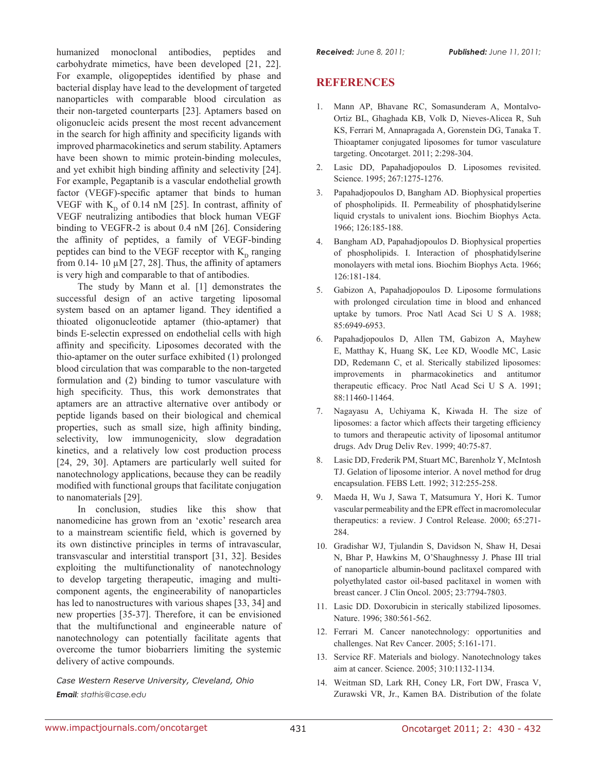humanized monoclonal antibodies, peptides and carbohydrate mimetics, have been developed [21, 22]. For example, oligopeptides identified by phase and bacterial display have lead to the development of targeted nanoparticles with comparable blood circulation as their non-targeted counterparts [23]. Aptamers based on oligonucleic acids present the most recent advancement in the search for high affinity and specificity ligands with improved pharmacokinetics and serum stability. Aptamers have been shown to mimic protein-binding molecules, and yet exhibit high binding affinity and selectivity [24]. For example, Pegaptanib is a vascular endothelial growth factor (VEGF)-specific aptamer that binds to human VEGF with  $K_p$  of 0.14 nM [25]. In contrast, affinity of VEGF neutralizing antibodies that block human VEGF binding to VEGFR-2 is about 0.4 nM [26]. Considering the affinity of peptides, a family of VEGF-binding peptides can bind to the VEGF receptor with  $K<sub>D</sub>$  ranging from 0.14- 10  $\mu$ M [27, 28]. Thus, the affinity of aptamers is very high and comparable to that of antibodies.

The study by Mann et al. [1] demonstrates the successful design of an active targeting liposomal system based on an aptamer ligand. They identified a thioated oligonucleotide aptamer (thio-aptamer) that binds E-selectin expressed on endothelial cells with high affinity and specificity. Liposomes decorated with the thio-aptamer on the outer surface exhibited (1) prolonged blood circulation that was comparable to the non-targeted formulation and (2) binding to tumor vasculature with high specificity. Thus, this work demonstrates that aptamers are an attractive alternative over antibody or peptide ligands based on their biological and chemical properties, such as small size, high affinity binding, selectivity, low immunogenicity, slow degradation kinetics, and a relatively low cost production process [24, 29, 30]. Aptamers are particularly well suited for nanotechnology applications, because they can be readily modified with functional groups that facilitate conjugation to nanomaterials [29].

In conclusion, studies like this show that nanomedicine has grown from an 'exotic' research area to a mainstream scientific field, which is governed by its own distinctive principles in terms of intravascular, transvascular and interstitial transport [31, 32]. Besides exploiting the multifunctionality of nanotechnology to develop targeting therapeutic, imaging and multicomponent agents, the engineerability of nanoparticles has led to nanostructures with various shapes [33, 34] and new properties [35-37]. Therefore, it can be envisioned that the multifunctional and engineerable nature of nanotechnology can potentially facilitate agents that overcome the tumor biobarriers limiting the systemic delivery of active compounds.

*Case Western Reserve University, Cleveland, Ohio Email: stathis@case.edu*

## **REFERENCES**

- 1. Mann AP, Bhavane RC, Somasunderam A, Montalvo-Ortiz BL, Ghaghada KB, Volk D, Nieves-Alicea R, Suh KS, Ferrari M, Annapragada A, Gorenstein DG, Tanaka T. Thioaptamer conjugated liposomes for tumor vasculature targeting. Oncotarget. 2011; 2:298-304.
- 2. Lasic DD, Papahadjopoulos D. Liposomes revisited. Science. 1995; 267:1275-1276.
- 3. Papahadjopoulos D, Bangham AD. Biophysical properties of phospholipids. II. Permeability of phosphatidylserine liquid crystals to univalent ions. Biochim Biophys Acta. 1966; 126:185-188.
- 4. Bangham AD, Papahadjopoulos D. Biophysical properties of phospholipids. I. Interaction of phosphatidylserine monolayers with metal ions. Biochim Biophys Acta. 1966; 126:181-184.
- 5. Gabizon A, Papahadjopoulos D. Liposome formulations with prolonged circulation time in blood and enhanced uptake by tumors. Proc Natl Acad Sci U S A. 1988; 85:6949-6953.
- 6. Papahadjopoulos D, Allen TM, Gabizon A, Mayhew E, Matthay K, Huang SK, Lee KD, Woodle MC, Lasic DD, Redemann C, et al. Sterically stabilized liposomes: improvements in pharmacokinetics and antitumor therapeutic efficacy. Proc Natl Acad Sci U S A. 1991; 88:11460-11464.
- 7. Nagayasu A, Uchiyama K, Kiwada H. The size of liposomes: a factor which affects their targeting efficiency to tumors and therapeutic activity of liposomal antitumor drugs. Adv Drug Deliv Rev. 1999; 40:75-87.
- 8. Lasic DD, Frederik PM, Stuart MC, Barenholz Y, McIntosh TJ. Gelation of liposome interior. A novel method for drug encapsulation. FEBS Lett. 1992; 312:255-258.
- 9. Maeda H, Wu J, Sawa T, Matsumura Y, Hori K. Tumor vascular permeability and the EPR effect in macromolecular therapeutics: a review. J Control Release. 2000; 65:271- 284.
- 10. Gradishar WJ, Tjulandin S, Davidson N, Shaw H, Desai N, Bhar P, Hawkins M, O'Shaughnessy J. Phase III trial of nanoparticle albumin-bound paclitaxel compared with polyethylated castor oil-based paclitaxel in women with breast cancer. J Clin Oncol. 2005; 23:7794-7803.
- 11. Lasic DD. Doxorubicin in sterically stabilized liposomes. Nature. 1996; 380:561-562.
- 12. Ferrari M. Cancer nanotechnology: opportunities and challenges. Nat Rev Cancer. 2005; 5:161-171.
- 13. Service RF. Materials and biology. Nanotechnology takes aim at cancer. Science. 2005; 310:1132-1134.
- 14. Weitman SD, Lark RH, Coney LR, Fort DW, Frasca V, Zurawski VR, Jr., Kamen BA. Distribution of the folate